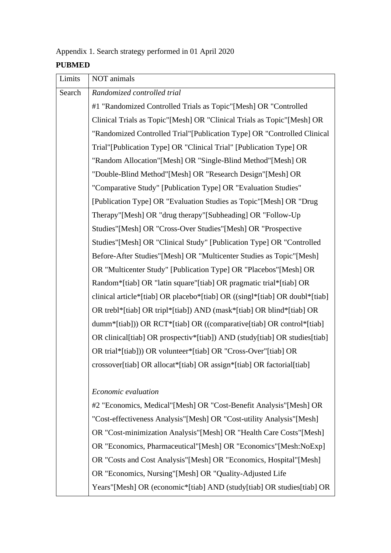### Appendix 1. Search strategy performed in 01 April 2020

#### **PUBMED**

| Limits | NOT animals                                                                 |
|--------|-----------------------------------------------------------------------------|
| Search | Randomized controlled trial                                                 |
|        | #1 "Randomized Controlled Trials as Topic"[Mesh] OR "Controlled             |
|        | Clinical Trials as Topic"[Mesh] OR "Clinical Trials as Topic"[Mesh] OR      |
|        | "Randomized Controlled Trial"[Publication Type] OR "Controlled Clinical     |
|        | Trial"[Publication Type] OR "Clinical Trial" [Publication Type] OR          |
|        | "Random Allocation"[Mesh] OR "Single-Blind Method"[Mesh] OR                 |
|        | "Double-Blind Method"[Mesh] OR "Research Design"[Mesh] OR                   |
|        | "Comparative Study" [Publication Type] OR "Evaluation Studies"              |
|        | [Publication Type] OR "Evaluation Studies as Topic"[Mesh] OR "Drug          |
|        | Therapy"[Mesh] OR "drug therapy"[Subheading] OR "Follow-Up"                 |
|        | Studies"[Mesh] OR "Cross-Over Studies"[Mesh] OR "Prospective                |
|        | Studies"[Mesh] OR "Clinical Study" [Publication Type] OR "Controlled        |
|        | Before-After Studies"[Mesh] OR "Multicenter Studies as Topic"[Mesh]         |
|        | OR "Multicenter Study" [Publication Type] OR "Placebos" [Mesh] OR           |
|        | Random*[tiab] OR "latin square"[tiab] OR pragmatic trial*[tiab] OR          |
|        | clinical article*[tiab] OR placebo*[tiab] OR ((singl*[tiab] OR doubl*[tiab] |
|        | OR trebl*[tiab] OR tripl*[tiab]) AND (mask*[tiab] OR blind*[tiab] OR        |
|        | dumm*[tiab])) OR RCT*[tiab] OR ((comparative[tiab] OR control*[tiab]        |
|        | OR clinical[tiab] OR prospectiv*[tiab]) AND (study[tiab] OR studies[tiab]   |
|        | OR trial*[tiab])) OR volunteer*[tiab] OR "Cross-Over"[tiab] OR              |
|        | crossover[tiab] OR allocat*[tiab] OR assign*[tiab] OR factorial[tiab]       |
|        |                                                                             |
|        | Economic evaluation                                                         |
|        | #2 "Economics, Medical"[Mesh] OR "Cost-Benefit Analysis"[Mesh] OR           |
|        | "Cost-effectiveness Analysis"[Mesh] OR "Cost-utility Analysis"[Mesh]        |

OR "Cost-minimization Analysis"[Mesh] OR "Health Care Costs"[Mesh] OR "Economics, Pharmaceutical"[Mesh] OR "Economics"[Mesh:NoExp] OR "Costs and Cost Analysis"[Mesh] OR "Economics, Hospital"[Mesh] OR "Economics, Nursing"[Mesh] OR "Quality-Adjusted Life Years"[Mesh] OR (economic\*[tiab] AND (study[tiab] OR studies[tiab] OR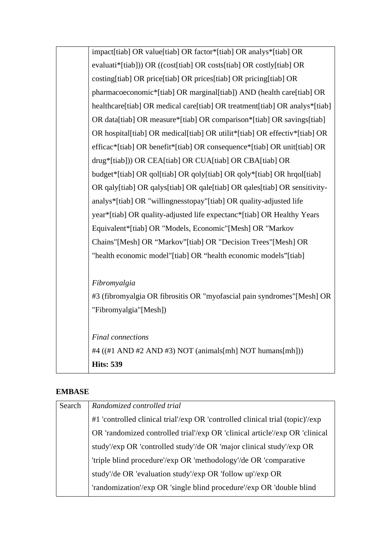| impact[tiab] OR value[tiab] OR factor*[tiab] OR analys*[tiab] OR               |
|--------------------------------------------------------------------------------|
| evaluati*[tiab])) OR ((cost[tiab] OR costs[tiab] OR costly[tiab] OR            |
| costing[tiab] OR price[tiab] OR prices[tiab] OR pricing[tiab] OR               |
| pharmacoeconomic*[tiab] OR marginal[tiab]) AND (health care[tiab] OR           |
| healthcare [tiab] OR medical care [tiab] OR treatment [tiab] OR analys* [tiab] |
| OR data[tiab] OR measure*[tiab] OR comparison*[tiab] OR savings[tiab]          |
| OR hospital[tiab] OR medical[tiab] OR utilit*[tiab] OR effectiv*[tiab] OR      |
| efficac*[tiab] OR benefit*[tiab] OR consequence*[tiab] OR unit[tiab] OR        |
| drug*[tiab])) OR CEA[tiab] OR CUA[tiab] OR CBA[tiab] OR                        |
| budget*[tiab] OR qol[tiab] OR qoly[tiab] OR qoly*[tiab] OR hrqol[tiab]         |
| OR qaly[tiab] OR qalys[tiab] OR qale[tiab] OR qales[tiab] OR sensitivity-      |
| analys*[tiab] OR "willingnesstopay"[tiab] OR quality-adjusted life             |
| year*[tiab] OR quality-adjusted life expectanc*[tiab] OR Healthy Years         |
| Equivalent*[tiab] OR "Models, Economic"[Mesh] OR "Markov                       |
| Chains"[Mesh] OR "Markov"[tiab] OR "Decision Trees"[Mesh] OR                   |
| "health economic model"[tiab] OR "health economic models"[tiab]                |
| Fibromyalgia                                                                   |
| #3 (fibromyalgia OR fibrositis OR "myofascial pain syndromes"[Mesh] OR         |
| "Fibromyalgia"[Mesh])                                                          |
|                                                                                |
| <b>Final</b> connections                                                       |
| #4 ((#1 AND #2 AND #3) NOT (animals[mh] NOT humans[mh]))                       |
| <b>Hits: 539</b>                                                               |

### **EMBASE**

| Search | Randomized controlled trial                                                   |
|--------|-------------------------------------------------------------------------------|
|        | #1 'controlled clinical trial'/exp OR 'controlled clinical trial (topic)'/exp |
|        | OR 'randomized controlled trial'/exp OR 'clinical article'/exp OR 'clinical   |
|        | study'/exp OR 'controlled study'/de OR 'major clinical study'/exp OR          |
|        | 'triple blind procedure'/exp OR 'methodology'/de OR 'comparative              |
|        | study'/de OR 'evaluation study'/exp OR 'follow up'/exp OR                     |
|        | 'randomization'/exp OR 'single blind procedure'/exp OR 'double blind          |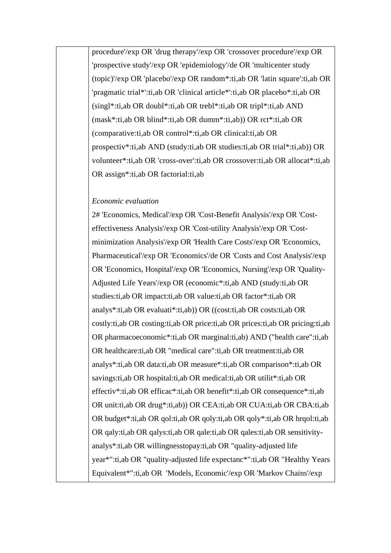procedure'/exp OR 'drug therapy'/exp OR 'crossover procedure'/exp OR 'prospective study'/exp OR 'epidemiology'/de OR 'multicenter study (topic)'/exp OR 'placebo'/exp OR random\*:ti,ab OR 'latin square':ti,ab OR 'pragmatic trial\*':ti,ab OR 'clinical article\*':ti,ab OR placebo\*:ti,ab OR (singl\*:ti,ab OR doubl\*:ti,ab OR trebl\*:ti,ab OR tripl\*:ti,ab AND (mask\*:ti,ab OR blind\*:ti,ab OR dumm\*:ti,ab)) OR rct\*:ti,ab OR (comparative:ti,ab OR control\*:ti,ab OR clinical:ti,ab OR prospectiv\*:ti,ab AND (study:ti,ab OR studies:ti,ab OR trial\*:ti,ab)) OR volunteer\*:ti,ab OR 'cross-over':ti,ab OR crossover:ti,ab OR allocat\*:ti,ab OR assign\*:ti,ab OR factorial:ti,ab

#### *Economic evaluation*

2# 'Economics, Medical'/exp OR 'Cost-Benefit Analysis'/exp OR 'Costeffectiveness Analysis'/exp OR 'Cost-utility Analysis'/exp OR 'Costminimization Analysis'/exp OR 'Health Care Costs'/exp OR 'Economics, Pharmaceutical'/exp OR 'Economics'/de OR 'Costs and Cost Analysis'/exp OR 'Economics, Hospital'/exp OR 'Economics, Nursing'/exp OR 'Quality-Adjusted Life Years'/exp OR (economic\*:ti,ab AND (study:ti,ab OR studies:ti,ab OR impact:ti,ab OR value:ti,ab OR factor\*:ti,ab OR analys\*:ti,ab OR evaluati\*:ti,ab)) OR ((cost:ti,ab OR costs:ti,ab OR costly:ti,ab OR costing:ti,ab OR price:ti,ab OR prices:ti,ab OR pricing:ti,ab OR pharmacoeconomic\*:ti,ab OR marginal:ti,ab) AND ("health care":ti,ab OR healthcare:ti,ab OR "medical care":ti,ab OR treatment:ti,ab OR analys\*:ti,ab OR data:ti,ab OR measure\*:ti,ab OR comparison\*:ti,ab OR savings:ti,ab OR hospital:ti,ab OR medical:ti,ab OR utilit\*:ti,ab OR effectiv\*:ti,ab OR efficac\*:ti,ab OR benefit\*:ti,ab OR consequence\*:ti,ab OR unit:ti,ab OR drug\*:ti,ab)) OR CEA:ti,ab OR CUA:ti,ab OR CBA:ti,ab OR budget\*:ti,ab OR qol:ti,ab OR qoly:ti,ab OR qoly\*:ti,ab OR hrqol:ti,ab OR qaly:ti,ab OR qalys:ti,ab OR qale:ti,ab OR qales:ti,ab OR sensitivityanalys\*:ti,ab OR willingnesstopay:ti,ab OR "quality-adjusted life year\*":ti,ab OR "quality-adjusted life expectanc\*":ti,ab OR "Healthy Years Equivalent\*":ti,ab OR 'Models, Economic'/exp OR 'Markov Chains'/exp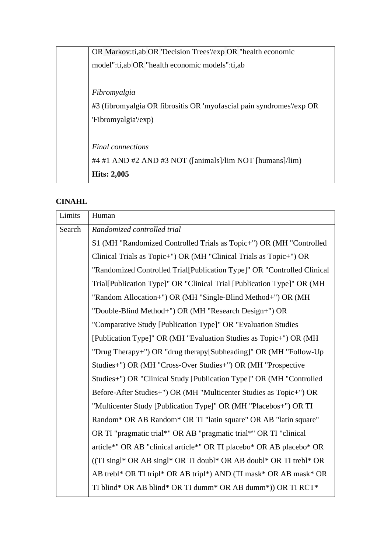| OR Markov:ti, ab OR 'Decision Trees'/exp OR "health economic         |
|----------------------------------------------------------------------|
| model":ti,ab OR "health economic models":ti,ab                       |
|                                                                      |
| Fibromyalgia                                                         |
| #3 (fibromyalgia OR fibrositis OR 'myofascial pain syndromes'/exp OR |
| 'Fibromyalgia'/exp)                                                  |
|                                                                      |
| <b>Final</b> connections                                             |
| #4 #1 AND #2 AND #3 NOT ([animals]/lim NOT [humans]/lim)             |
| <b>Hits: 2,005</b>                                                   |

# **CINAHL**

| Limits | Human                                                                   |
|--------|-------------------------------------------------------------------------|
| Search | Randomized controlled trial                                             |
|        | S1 (MH "Randomized Controlled Trials as Topic+") OR (MH "Controlled     |
|        | Clinical Trials as Topic+") OR (MH "Clinical Trials as Topic+") OR      |
|        | "Randomized Controlled Trial[Publication Type]" OR "Controlled Clinical |
|        | Trial[Publication Type]" OR "Clinical Trial [Publication Type]" OR (MH  |
|        | "Random Allocation+") OR (MH "Single-Blind Method+") OR (MH             |
|        | "Double-Blind Method+") OR (MH "Research Design+") OR                   |
|        | "Comparative Study [Publication Type]" OR "Evaluation Studies"          |
|        | [Publication Type]" OR (MH "Evaluation Studies as Topic+") OR (MH       |
|        | "Drug Therapy+") OR "drug therapy[Subheading]" OR (MH "Follow-Up"       |
|        | Studies+") OR (MH "Cross-Over Studies+") OR (MH "Prospective            |
|        | Studies+") OR "Clinical Study [Publication Type]" OR (MH "Controlled    |
|        | Before-After Studies+") OR (MH "Multicenter Studies as Topic+") OR      |
|        | "Multicenter Study [Publication Type]" OR (MH "Placebos+") OR TI        |
|        | Random* OR AB Random* OR TI "latin square" OR AB "latin square"         |
|        | OR TI "pragmatic trial*" OR AB "pragmatic trial*" OR TI "clinical       |
|        | article*" OR AB "clinical article*" OR TI placebo* OR AB placebo* OR    |
|        | ((TI singl* OR AB singl* OR TI doubl* OR AB doubl* OR TI trebl* OR      |
|        | AB trebl* OR TI tripl* OR AB tripl*) AND (TI mask* OR AB mask* OR       |
|        | TI blind* OR AB blind* OR TI dumm* OR AB dumm*)) OR TI RCT*             |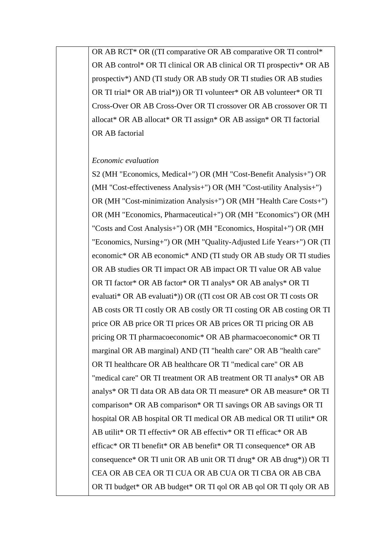OR AB RCT\* OR ((TI comparative OR AB comparative OR TI control\* OR AB control\* OR TI clinical OR AB clinical OR TI prospectiv\* OR AB prospectiv\*) AND (TI study OR AB study OR TI studies OR AB studies OR TI trial\* OR AB trial\*)) OR TI volunteer\* OR AB volunteer\* OR TI Cross-Over OR AB Cross-Over OR TI crossover OR AB crossover OR TI allocat\* OR AB allocat\* OR TI assign\* OR AB assign\* OR TI factorial OR AB factorial

#### *Economic evaluation*

S2 (MH "Economics, Medical+") OR (MH "Cost-Benefit Analysis+") OR (MH "Cost-effectiveness Analysis+") OR (MH "Cost-utility Analysis+") OR (MH "Cost-minimization Analysis+") OR (MH "Health Care Costs+") OR (MH "Economics, Pharmaceutical+") OR (MH "Economics") OR (MH "Costs and Cost Analysis+") OR (MH "Economics, Hospital+") OR (MH "Economics, Nursing+") OR (MH "Quality-Adjusted Life Years+") OR (TI economic\* OR AB economic\* AND (TI study OR AB study OR TI studies OR AB studies OR TI impact OR AB impact OR TI value OR AB value OR TI factor\* OR AB factor\* OR TI analys\* OR AB analys\* OR TI evaluati\* OR AB evaluati\*)) OR ((TI cost OR AB cost OR TI costs OR AB costs OR TI costly OR AB costly OR TI costing OR AB costing OR TI price OR AB price OR TI prices OR AB prices OR TI pricing OR AB pricing OR TI pharmacoeconomic\* OR AB pharmacoeconomic\* OR TI marginal OR AB marginal) AND (TI "health care" OR AB "health care" OR TI healthcare OR AB healthcare OR TI "medical care" OR AB "medical care" OR TI treatment OR AB treatment OR TI analys\* OR AB analys\* OR TI data OR AB data OR TI measure\* OR AB measure\* OR TI comparison\* OR AB comparison\* OR TI savings OR AB savings OR TI hospital OR AB hospital OR TI medical OR AB medical OR TI utilit\* OR AB utilit\* OR TI effectiv\* OR AB effectiv\* OR TI efficac\* OR AB efficac\* OR TI benefit\* OR AB benefit\* OR TI consequence\* OR AB consequence\* OR TI unit OR AB unit OR TI drug\* OR AB drug\*)) OR TI CEA OR AB CEA OR TI CUA OR AB CUA OR TI CBA OR AB CBA OR TI budget\* OR AB budget\* OR TI qol OR AB qol OR TI qoly OR AB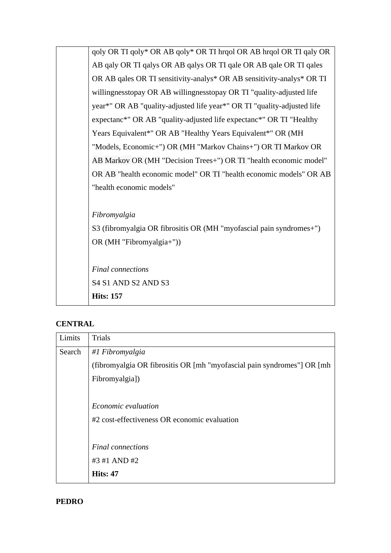| S3 (fibromyalgia OR fibrositis OR (MH "myofascial pain syndromes+")     |  |
|-------------------------------------------------------------------------|--|
|                                                                         |  |
|                                                                         |  |
| OR AB "health economic model" OR TI "health economic models" OR AB      |  |
| AB Markov OR (MH "Decision Trees+") OR TI "health economic model"       |  |
| "Models, Economic+") OR (MH "Markov Chains+") OR TI Markov OR           |  |
| Years Equivalent*" OR AB "Healthy Years Equivalent*" OR (MH             |  |
| expectanc*" OR AB "quality-adjusted life expectanc*" OR TI "Healthy     |  |
| year*" OR AB "quality-adjusted life year*" OR TI "quality-adjusted life |  |
| willingnesstopay OR AB willingnesstopay OR TI "quality-adjusted life    |  |
| OR AB qales OR TI sensitivity-analys* OR AB sensitivity-analys* OR TI   |  |
| AB qaly OR TI qalys OR AB qalys OR TI qale OR AB qale OR TI qales       |  |
| qoly OR TI qoly* OR AB qoly* OR TI hrqol OR AB hrqol OR TI qaly OR      |  |
|                                                                         |  |

# **CENTRAL**

| Limits | Trials                                                                  |
|--------|-------------------------------------------------------------------------|
| Search | #1 Fibromyalgia                                                         |
|        | (fibromyalgia OR fibrositis OR [mh "myofascial pain syndromes"] OR [mh] |
|        | Fibromyalgia])                                                          |
|        |                                                                         |
|        | Economic evaluation                                                     |
|        | #2 cost-effectiveness OR economic evaluation                            |
|        |                                                                         |
|        | <b>Final</b> connections                                                |
|        | #3 #1 AND #2                                                            |
|        | <b>Hits: 47</b>                                                         |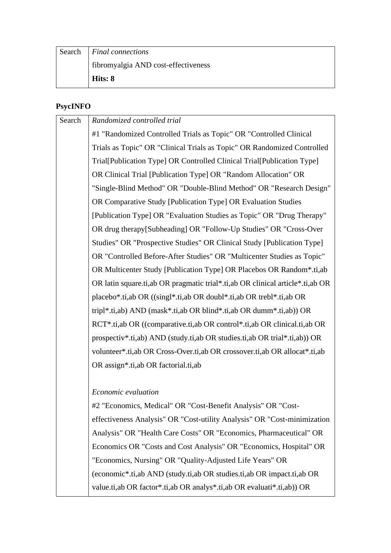| Search | <i>Final connections</i>            |
|--------|-------------------------------------|
|        | fibromyalgia AND cost-effectiveness |
|        | Hits: 8                             |

## **PsycINFO**

| Search | Randomized controlled trial                                                      |
|--------|----------------------------------------------------------------------------------|
|        | #1 "Randomized Controlled Trials as Topic" OR "Controlled Clinical               |
|        | Trials as Topic" OR "Clinical Trials as Topic" OR Randomized Controlled          |
|        | Trial[Publication Type] OR Controlled Clinical Trial[Publication Type]           |
|        | OR Clinical Trial [Publication Type] OR "Random Allocation" OR                   |
|        | "Single-Blind Method" OR "Double-Blind Method" OR "Research Design"              |
|        | OR Comparative Study [Publication Type] OR Evaluation Studies                    |
|        | [Publication Type] OR "Evaluation Studies as Topic" OR "Drug Therapy"            |
|        | OR drug therapy[Subheading] OR "Follow-Up Studies" OR "Cross-Over                |
|        | Studies" OR "Prospective Studies" OR Clinical Study [Publication Type]           |
|        | OR "Controlled Before-After Studies" OR "Multicenter Studies as Topic"           |
|        | OR Multicenter Study [Publication Type] OR Placebos OR Random*.ti,ab             |
|        | OR latin square.ti, ab OR pragmatic trial*.ti, ab OR clinical article*.ti, ab OR |
|        | placebo*.ti,ab OR ((singl*.ti,ab OR doubl*.ti,ab OR trebl*.ti,ab OR              |
|        | tripl*.ti,ab) AND (mask*.ti,ab OR blind*.ti,ab OR dumm*.ti,ab)) OR               |
|        | RCT*.ti,ab OR ((comparative.ti,ab OR control*.ti,ab OR clinical.ti,ab OR         |
|        | prospectiv*.ti,ab) AND (study.ti,ab OR studies.ti,ab OR trial*.ti,ab)) OR        |
|        | volunteer*.ti,ab OR Cross-Over.ti,ab OR crossover.ti,ab OR allocat*.ti,ab        |
|        | OR assign*.ti,ab OR factorial.ti,ab                                              |
|        |                                                                                  |
|        | $\mathbf{r}$ . The set of $\mathbf{r}$ is the set of $\mathbf{r}$                |

### *Economic evaluation*

#2 "Economics, Medical" OR "Cost-Benefit Analysis" OR "Costeffectiveness Analysis" OR "Cost-utility Analysis" OR "Cost-minimization Analysis" OR "Health Care Costs" OR "Economics, Pharmaceutical" OR Economics OR "Costs and Cost Analysis" OR "Economics, Hospital" OR "Economics, Nursing" OR "Quality-Adjusted Life Years" OR (economic\*.ti,ab AND (study.ti,ab OR studies.ti,ab OR impact.ti,ab OR value.ti,ab OR factor\*.ti,ab OR analys\*.ti,ab OR evaluati\*.ti,ab)) OR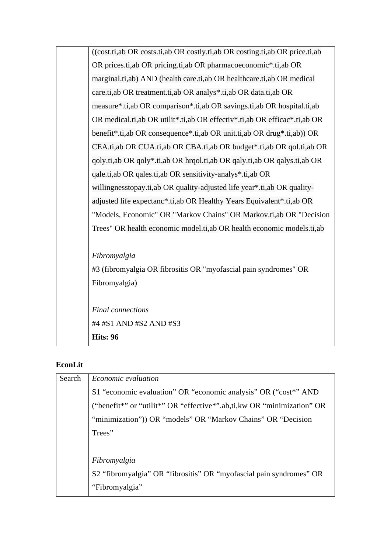| Trees" OR health economic model.ti, ab OR health economic models.ti, ab<br>Fibromyalgia<br>#3 (fibromyalgia OR fibrositis OR "myofascial pain syndromes" OR<br>Fibromyalgia)<br><b>Final</b> connections<br>#4 #S1 AND #S2 AND #S3 |
|------------------------------------------------------------------------------------------------------------------------------------------------------------------------------------------------------------------------------------|
|                                                                                                                                                                                                                                    |
|                                                                                                                                                                                                                                    |
|                                                                                                                                                                                                                                    |
|                                                                                                                                                                                                                                    |
|                                                                                                                                                                                                                                    |
|                                                                                                                                                                                                                                    |
|                                                                                                                                                                                                                                    |
|                                                                                                                                                                                                                                    |
| "Models, Economic" OR "Markov Chains" OR Markov.ti,ab OR "Decision                                                                                                                                                                 |
| adjusted life expectanc*.ti,ab OR Healthy Years Equivalent*.ti,ab OR                                                                                                                                                               |
| willingnesstopay.ti, ab OR quality-adjusted life year*.ti, ab OR quality-                                                                                                                                                          |
| qale.ti, ab OR qales.ti, ab OR sensitivity-analys <sup>*</sup> .ti, ab OR                                                                                                                                                          |
| qoly.ti,ab OR qoly*.ti,ab OR hrqol.ti,ab OR qaly.ti,ab OR qalys.ti,ab OR                                                                                                                                                           |
| CEA.ti,ab OR CUA.ti,ab OR CBA.ti,ab OR budget*.ti,ab OR qol.ti,ab OR                                                                                                                                                               |
| benefit <sup>*</sup> .ti,ab OR consequence <sup>*</sup> .ti,ab OR unit.ti,ab OR drug <sup>*</sup> .ti,ab)) OR                                                                                                                      |
| OR medical.ti, ab OR utilit*.ti, ab OR effectiv*.ti, ab OR efficac*.ti, ab OR                                                                                                                                                      |
| measure*.ti,ab OR comparison*.ti,ab OR savings.ti,ab OR hospital.ti,ab                                                                                                                                                             |
| care.ti,ab OR treatment.ti,ab OR analys*.ti,ab OR data.ti,ab OR                                                                                                                                                                    |
| marginal.ti,ab) AND (health care.ti,ab OR healthcare.ti,ab OR medical                                                                                                                                                              |
| OR prices.ti, ab OR pricing.ti, ab OR pharmacoeconomic*.ti, ab OR                                                                                                                                                                  |
| ((cost.ti,ab OR costs.ti,ab OR costly.ti,ab OR costing.ti,ab OR price.ti,ab                                                                                                                                                        |

# **EconLit**

| Search | <i>Economic evaluation</i>                                              |
|--------|-------------------------------------------------------------------------|
|        | S1 "economic evaluation" OR "economic analysis" OR ("cost*" AND         |
|        | ("benefit*" or "utilit*" OR "effective*".ab,ti, kw OR "minimization" OR |
|        | "minimization")) OR "models" OR "Markov Chains" OR "Decision            |
|        | Trees"                                                                  |
|        |                                                                         |
|        | Fibromyalgia                                                            |
|        | S2 "fibromyalgia" OR "fibrositis" OR "myofascial pain syndromes" OR     |
|        | "Fibromyalgia"                                                          |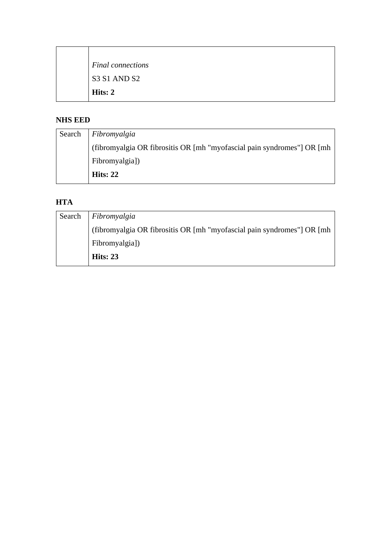| Final connections |
|-------------------|
| S3 S1 AND S2      |
| Hits: 2           |

## **NHS EED**

 $\top$ 

| Search Fibromyalgia                                                     |
|-------------------------------------------------------------------------|
| (fibromyalgia OR fibrositis OR [mh "myofascial pain syndromes"] OR [mh] |
| Fibromyalgia])                                                          |
| Hits: $22$                                                              |

# **HTA**

| Search | Fibromyalgia                                                            |
|--------|-------------------------------------------------------------------------|
|        | (fibromyalgia OR fibrositis OR [mh "myofascial pain syndromes"] OR [mh] |
|        | Fibromyalgia])                                                          |
|        | Hits: $23$                                                              |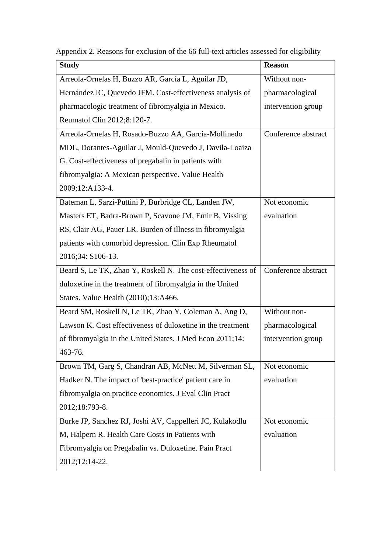|  |  |  | Appendix 2. Reasons for exclusion of the 66 full-text articles assessed for eligibility |
|--|--|--|-----------------------------------------------------------------------------------------|
|  |  |  |                                                                                         |
|  |  |  |                                                                                         |
|  |  |  |                                                                                         |

| <b>Study</b>                                                 | <b>Reason</b>       |
|--------------------------------------------------------------|---------------------|
| Arreola-Ornelas H, Buzzo AR, García L, Aguilar JD,           | Without non-        |
| Hernández IC, Quevedo JFM. Cost-effectiveness analysis of    | pharmacological     |
| pharmacologic treatment of fibromyalgia in Mexico.           | intervention group  |
| Reumatol Clin 2012;8:120-7.                                  |                     |
| Arreola-Ornelas H, Rosado-Buzzo AA, Garcia-Mollinedo         | Conference abstract |
| MDL, Dorantes-Aguilar J, Mould-Quevedo J, Davila-Loaiza      |                     |
| G. Cost-effectiveness of pregabalin in patients with         |                     |
| fibromyalgia: A Mexican perspective. Value Health            |                     |
| 2009;12:A133-4.                                              |                     |
| Bateman L, Sarzi-Puttini P, Burbridge CL, Landen JW,         | Not economic        |
| Masters ET, Badra-Brown P, Scavone JM, Emir B, Vissing       | evaluation          |
| RS, Clair AG, Pauer LR. Burden of illness in fibromyalgia    |                     |
| patients with comorbid depression. Clin Exp Rheumatol        |                     |
| 2016;34: S106-13.                                            |                     |
| Beard S, Le TK, Zhao Y, Roskell N. The cost-effectiveness of | Conference abstract |
| duloxetine in the treatment of fibromyalgia in the United    |                     |
| States. Value Health (2010);13:A466.                         |                     |
| Beard SM, Roskell N, Le TK, Zhao Y, Coleman A, Ang D,        | Without non-        |
| Lawson K. Cost effectiveness of duloxetine in the treatment  | pharmacological     |
| of fibromyalgia in the United States. J Med Econ 2011;14:    | intervention group  |
| 463-76.                                                      |                     |
| Brown TM, Garg S, Chandran AB, McNett M, Silverman SL,       | Not economic        |
| Hadker N. The impact of 'best-practice' patient care in      | evaluation          |
| fibromyalgia on practice economics. J Eval Clin Pract        |                     |
| 2012;18:793-8.                                               |                     |
| Burke JP, Sanchez RJ, Joshi AV, Cappelleri JC, Kulakodlu     | Not economic        |
| M, Halpern R. Health Care Costs in Patients with             | evaluation          |
| Fibromyalgia on Pregabalin vs. Duloxetine. Pain Pract        |                     |
| 2012;12:14-22.                                               |                     |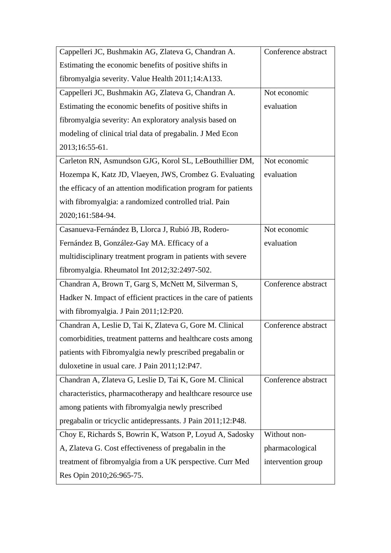| Cappelleri JC, Bushmakin AG, Zlateva G, Chandran A.             | Conference abstract |
|-----------------------------------------------------------------|---------------------|
| Estimating the economic benefits of positive shifts in          |                     |
| fibromyalgia severity. Value Health 2011;14:A133.               |                     |
| Cappelleri JC, Bushmakin AG, Zlateva G, Chandran A.             | Not economic        |
| Estimating the economic benefits of positive shifts in          | evaluation          |
| fibromyalgia severity: An exploratory analysis based on         |                     |
| modeling of clinical trial data of pregabalin. J Med Econ       |                     |
| 2013;16:55-61.                                                  |                     |
| Carleton RN, Asmundson GJG, Korol SL, LeBouthillier DM,         | Not economic        |
| Hozempa K, Katz JD, Vlaeyen, JWS, Crombez G. Evaluating         | evaluation          |
| the efficacy of an attention modification program for patients  |                     |
| with fibromyalgia: a randomized controlled trial. Pain          |                     |
| 2020;161:584-94.                                                |                     |
| Casanueva-Fernández B, Llorca J, Rubió JB, Rodero-              | Not economic        |
| Fernández B, González-Gay MA. Efficacy of a                     | evaluation          |
| multidisciplinary treatment program in patients with severe     |                     |
| fibromyalgia. Rheumatol Int 2012;32:2497-502.                   |                     |
| Chandran A, Brown T, Garg S, McNett M, Silverman S,             | Conference abstract |
| Hadker N. Impact of efficient practices in the care of patients |                     |
| with fibromyalgia. J Pain 2011;12:P20.                          |                     |
| Chandran A, Leslie D, Tai K, Zlateva G, Gore M. Clinical        | Conference abstract |
| comorbidities, treatment patterns and healthcare costs among    |                     |
| patients with Fibromyalgia newly prescribed pregabalin or       |                     |
| duloxetine in usual care. J Pain 2011;12:P47.                   |                     |
| Chandran A, Zlateva G, Leslie D, Tai K, Gore M. Clinical        | Conference abstract |
| characteristics, pharmacotherapy and healthcare resource use    |                     |
| among patients with fibromyalgia newly prescribed               |                     |
| pregabalin or tricyclic antidepressants. J Pain 2011;12:P48.    |                     |
| Choy E, Richards S, Bowrin K, Watson P, Loyud A, Sadosky        | Without non-        |
| A, Zlateva G. Cost effectiveness of pregabalin in the           | pharmacological     |
|                                                                 |                     |
| treatment of fibromyalgia from a UK perspective. Curr Med       | intervention group  |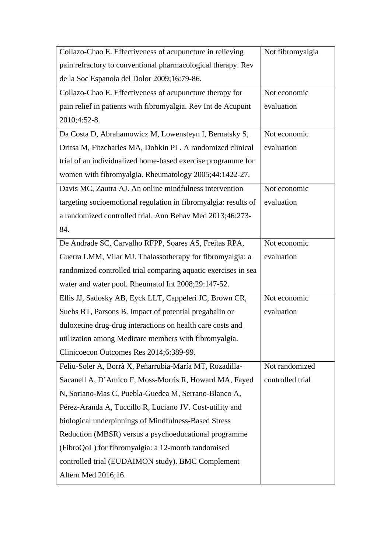| Collazo-Chao E. Effectiveness of acupuncture in relieving       | Not fibromyalgia |
|-----------------------------------------------------------------|------------------|
| pain refractory to conventional pharmacological therapy. Rev    |                  |
| de la Soc Espanola del Dolor 2009;16:79-86.                     |                  |
| Collazo-Chao E. Effectiveness of acupuncture therapy for        | Not economic     |
| pain relief in patients with fibromyalgia. Rev Int de Acupunt   | evaluation       |
| 2010;4:52-8.                                                    |                  |
| Da Costa D, Abrahamowicz M, Lowensteyn I, Bernatsky S,          | Not economic     |
| Dritsa M, Fitzcharles MA, Dobkin PL. A randomized clinical      | evaluation       |
| trial of an individualized home-based exercise programme for    |                  |
| women with fibromyalgia. Rheumatology 2005;44:1422-27.          |                  |
| Davis MC, Zautra AJ. An online mindfulness intervention         | Not economic     |
| targeting socioemotional regulation in fibromyalgia: results of | evaluation       |
| a randomized controlled trial. Ann Behav Med 2013;46:273-       |                  |
| 84.                                                             |                  |
| De Andrade SC, Carvalho RFPP, Soares AS, Freitas RPA,           | Not economic     |
| Guerra LMM, Vilar MJ. Thalassotherapy for fibromyalgia: a       | evaluation       |
| randomized controlled trial comparing aquatic exercises in sea  |                  |
| water and water pool. Rheumatol Int 2008;29:147-52.             |                  |
| Ellis JJ, Sadosky AB, Eyck LLT, Cappeleri JC, Brown CR,         | Not economic     |
| Suehs BT, Parsons B. Impact of potential pregabalin or          | evaluation       |
| duloxetine drug-drug interactions on health care costs and      |                  |
| utilization among Medicare members with fibromyalgia.           |                  |
| Clinicoecon Outcomes Res 2014;6:389-99.                         |                  |
| Feliu-Soler A, Borrà X, Peñarrubia-María MT, Rozadilla-         | Not randomized   |
| Sacanell A, D'Amico F, Moss-Morris R, Howard MA, Fayed          | controlled trial |
| N, Soriano-Mas C, Puebla-Guedea M, Serrano-Blanco A,            |                  |
| Pérez-Aranda A, Tuccillo R, Luciano JV. Cost-utility and        |                  |
| biological underpinnings of Mindfulness-Based Stress            |                  |
| Reduction (MBSR) versus a psychoeducational programme           |                  |
| (FibroQoL) for fibromyalgia: a 12-month randomised              |                  |
| controlled trial (EUDAIMON study). BMC Complement               |                  |
| Altern Med 2016;16.                                             |                  |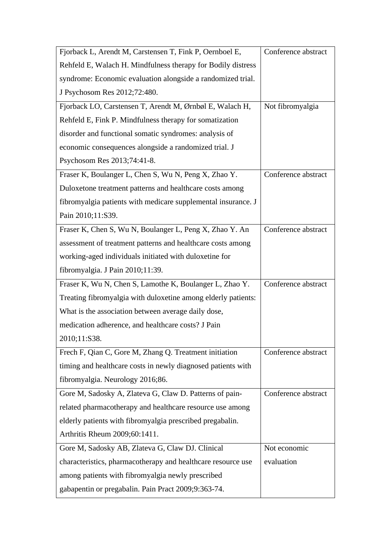| Fjorback L, Arendt M, Carstensen T, Fink P, Oernboel E,       | Conference abstract |
|---------------------------------------------------------------|---------------------|
| Rehfeld E, Walach H. Mindfulness therapy for Bodily distress  |                     |
| syndrome: Economic evaluation alongside a randomized trial.   |                     |
| J Psychosom Res 2012;72:480.                                  |                     |
| Fjorback LO, Carstensen T, Arendt M, Ørnbøl E, Walach H,      | Not fibromyalgia    |
| Rehfeld E, Fink P. Mindfulness therapy for somatization       |                     |
| disorder and functional somatic syndromes: analysis of        |                     |
| economic consequences alongside a randomized trial. J         |                     |
| Psychosom Res 2013;74:41-8.                                   |                     |
| Fraser K, Boulanger L, Chen S, Wu N, Peng X, Zhao Y.          | Conference abstract |
| Duloxetone treatment patterns and healthcare costs among      |                     |
| fibromyalgia patients with medicare supplemental insurance. J |                     |
| Pain 2010;11:S39.                                             |                     |
| Fraser K, Chen S, Wu N, Boulanger L, Peng X, Zhao Y. An       | Conference abstract |
| assessment of treatment patterns and healthcare costs among   |                     |
| working-aged individuals initiated with duloxetine for        |                     |
| fibromyalgia. J Pain 2010;11:39.                              |                     |
| Fraser K, Wu N, Chen S, Lamothe K, Boulanger L, Zhao Y.       | Conference abstract |
| Treating fibromyalgia with duloxetine among elderly patients: |                     |
| What is the association between average daily dose,           |                     |
| medication adherence, and healthcare costs? J Pain            |                     |
| 2010;11:S38.                                                  |                     |
| Frech F, Qian C, Gore M, Zhang Q. Treatment initiation        | Conference abstract |
| timing and healthcare costs in newly diagnosed patients with  |                     |
| fibromyalgia. Neurology 2016;86.                              |                     |
| Gore M, Sadosky A, Zlateva G, Claw D. Patterns of pain-       | Conference abstract |
| related pharmacotherapy and healthcare resource use among     |                     |
| elderly patients with fibromyalgia prescribed pregabalin.     |                     |
| Arthritis Rheum 2009;60:1411.                                 |                     |
| Gore M, Sadosky AB, Zlateva G, Claw DJ. Clinical              | Not economic        |
| characteristics, pharmacotherapy and healthcare resource use  | evaluation          |
| among patients with fibromyalgia newly prescribed             |                     |
| gabapentin or pregabalin. Pain Pract 2009;9:363-74.           |                     |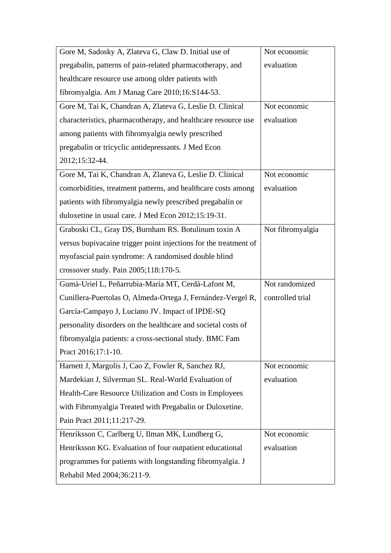| Gore M, Sadosky A, Zlateva G, Claw D. Initial use of             | Not economic     |
|------------------------------------------------------------------|------------------|
| pregabalin, patterns of pain-related pharmacotherapy, and        | evaluation       |
| healthcare resource use among older patients with                |                  |
| fibromyalgia. Am J Manag Care 2010;16:S144-53.                   |                  |
| Gore M, Tai K, Chandran A, Zlateva G, Leslie D. Clinical         | Not economic     |
| characteristics, pharmacotherapy, and healthcare resource use    | evaluation       |
| among patients with fibromyalgia newly prescribed                |                  |
| pregabalin or tricyclic antidepressants. J Med Econ              |                  |
| 2012;15:32-44.                                                   |                  |
| Gore M, Tai K, Chandran A, Zlateva G, Leslie D. Clinical         | Not economic     |
| comorbidities, treatment patterns, and healthcare costs among    | evaluation       |
| patients with fibromyalgia newly prescribed pregabalin or        |                  |
| duloxetine in usual care. J Med Econ 2012;15:19-31.              |                  |
| Graboski CL, Gray DS, Burnham RS. Botulinum toxin A              | Not fibromyalgia |
| versus bupivacaine trigger point injections for the treatment of |                  |
| myofascial pain syndrome: A randomised double blind              |                  |
| crossover study. Pain 2005;118:170-5.                            |                  |
| Gumà-Uriel L, Peñarrubia-María MT, Cerdà-Lafont M,               | Not randomized   |
| Cunillera-Puertolas O, Almeda-Ortega J, Fernández-Vergel R,      | controlled trial |
| García-Campayo J, Luciano JV. Impact of IPDE-SQ                  |                  |
| personality disorders on the healthcare and societal costs of    |                  |
| fibromyalgia patients: a cross-sectional study. BMC Fam          |                  |
| Pract 2016;17:1-10.                                              |                  |
| Harnett J, Margolis J, Cao Z, Fowler R, Sanchez RJ,              | Not economic     |
| Mardekian J, Silverman SL. Real-World Evaluation of              | evaluation       |
| Health-Care Resource Utilization and Costs in Employees          |                  |
| with Fibromyalgia Treated with Pregabalin or Duloxetine.         |                  |
| Pain Pract 2011;11:217-29.                                       |                  |
| Henriksson C, Carlberg U, Ilman MK, Lundberg G,                  | Not economic     |
| Henriksson KG. Evaluation of four outpatient educational         | evaluation       |
| programmes for patients with longstanding fibromyalgia. J        |                  |
| Rehabil Med 2004;36:211-9.                                       |                  |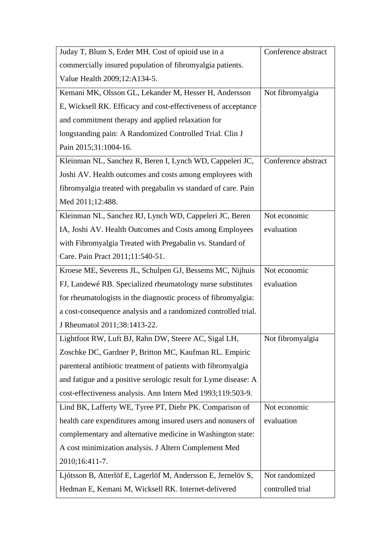| Juday T, Blum S, Erder MH. Cost of opioid use in a              | Conference abstract |
|-----------------------------------------------------------------|---------------------|
| commercially insured population of fibromyalgia patients.       |                     |
| Value Health 2009;12:A134-5.                                    |                     |
| Kemani MK, Olsson GL, Lekander M, Hesser H, Andersson           | Not fibromyalgia    |
| E, Wicksell RK. Efficacy and cost-effectiveness of acceptance   |                     |
| and commitment therapy and applied relaxation for               |                     |
| longstanding pain: A Randomized Controlled Trial. Clin J        |                     |
| Pain 2015;31:1004-16.                                           |                     |
| Kleinman NL, Sanchez R, Beren I, Lynch WD, Cappeleri JC,        | Conference abstract |
| Joshi AV. Health outcomes and costs among employees with        |                     |
| fibromyalgia treated with pregabalin vs standard of care. Pain  |                     |
| Med 2011;12:488.                                                |                     |
| Kleinman NL, Sanchez RJ, Lynch WD, Cappeleri JC, Beren          | Not economic        |
| IA, Joshi AV. Health Outcomes and Costs among Employees         | evaluation          |
| with Fibromyalgia Treated with Pregabalin vs. Standard of       |                     |
| Care. Pain Pract 2011;11:540-51.                                |                     |
| Kroese ME, Severens JL, Schulpen GJ, Bessems MC, Nijhuis        | Not economic        |
| FJ, Landewé RB. Specialized rheumatology nurse substitutes      | evaluation          |
| for rheumatologists in the diagnostic process of fibromyalgia:  |                     |
| a cost-consequence analysis and a randomized controlled trial.  |                     |
| J Rheumatol 2011;38:1413-22.                                    |                     |
| Lightfoot RW, Luft BJ, Rahn DW, Steere AC, Sigal LH,            | Not fibromyalgia    |
| Zoschke DC, Gardner P, Britton MC, Kaufman RL. Empiric          |                     |
| parenteral antibiotic treatment of patients with fibromyalgia   |                     |
| and fatigue and a positive serologic result for Lyme disease: A |                     |
| cost-effectiveness analysis. Ann Intern Med 1993;119:503-9.     |                     |
| Lind BK, Lafferty WE, Tyree PT, Diehr PK. Comparison of         | Not economic        |
| health care expenditures among insured users and nonusers of    | evaluation          |
| complementary and alternative medicine in Washington state:     |                     |
| A cost minimization analysis. J Altern Complement Med           |                     |
| 2010;16:411-7.                                                  |                     |
| Ljótsson B, Atterlöf E, Lagerlöf M, Andersson E, Jernelöv S,    | Not randomized      |
| Hedman E, Kemani M, Wicksell RK. Internet-delivered             | controlled trial    |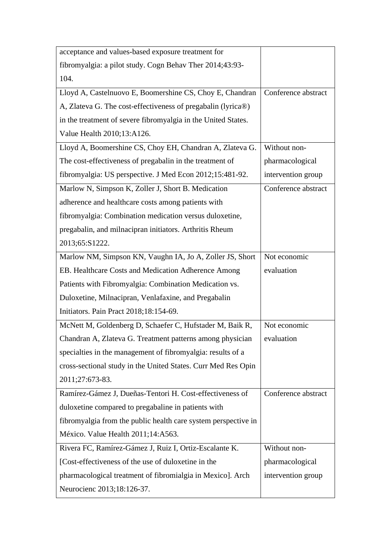| acceptance and values-based exposure treatment for             |                     |
|----------------------------------------------------------------|---------------------|
| fibromyalgia: a pilot study. Cogn Behav Ther 2014;43:93-       |                     |
| 104.                                                           |                     |
| Lloyd A, Castelnuovo E, Boomershine CS, Choy E, Chandran       | Conference abstract |
| A, Zlateva G. The cost-effectiveness of pregabalin (lyrica®)   |                     |
| in the treatment of severe fibromyalgia in the United States.  |                     |
| Value Health 2010;13:A126.                                     |                     |
| Lloyd A, Boomershine CS, Choy EH, Chandran A, Zlateva G.       | Without non-        |
| The cost-effectiveness of pregabalin in the treatment of       | pharmacological     |
| fibromyalgia: US perspective. J Med Econ 2012;15:481-92.       | intervention group  |
| Marlow N, Simpson K, Zoller J, Short B. Medication             | Conference abstract |
| adherence and healthcare costs among patients with             |                     |
| fibromyalgia: Combination medication versus duloxetine,        |                     |
| pregabalin, and milnacipran initiators. Arthritis Rheum        |                     |
| 2013;65:S1222.                                                 |                     |
| Marlow NM, Simpson KN, Vaughn IA, Jo A, Zoller JS, Short       | Not economic        |
| EB. Healthcare Costs and Medication Adherence Among            | evaluation          |
| Patients with Fibromyalgia: Combination Medication vs.         |                     |
| Duloxetine, Milnacipran, Venlafaxine, and Pregabalin           |                     |
| Initiators. Pain Pract 2018;18:154-69.                         |                     |
| McNett M, Goldenberg D, Schaefer C, Hufstader M, Baik R,       | Not economic        |
| Chandran A, Zlateva G. Treatment patterns among physician      | evaluation          |
| specialties in the management of fibromyalgia: results of a    |                     |
| cross-sectional study in the United States. Curr Med Res Opin  |                     |
| 2011;27:673-83.                                                |                     |
| Ramírez-Gámez J, Dueñas-Tentori H. Cost-effectiveness of       | Conference abstract |
| duloxetine compared to pregabaline in patients with            |                     |
| fibromyalgia from the public health care system perspective in |                     |
| México. Value Health 2011;14:A563.                             |                     |
| Rivera FC, Ramírez-Gámez J, Ruiz I, Ortiz-Escalante K.         | Without non-        |
| [Cost-effectiveness of the use of duloxetine in the            | pharmacological     |
| pharmacological treatment of fibromialgia in Mexico]. Arch     | intervention group  |
| Neurocienc 2013;18:126-37.                                     |                     |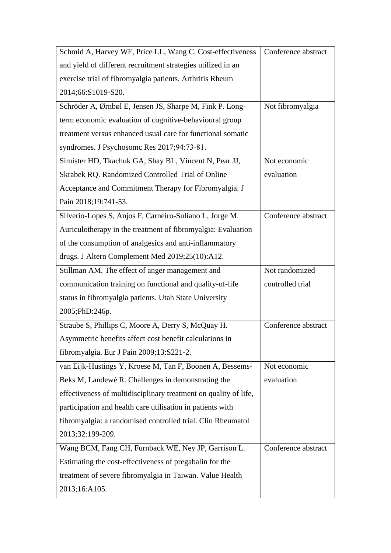| Schmid A, Harvey WF, Price LL, Wang C. Cost-effectiveness        | Conference abstract |
|------------------------------------------------------------------|---------------------|
| and yield of different recruitment strategies utilized in an     |                     |
| exercise trial of fibromyalgia patients. Arthritis Rheum         |                     |
| 2014;66:S1019-S20.                                               |                     |
| Schröder A, Ørnbøl E, Jensen JS, Sharpe M, Fink P. Long-         | Not fibromyalgia    |
| term economic evaluation of cognitive-behavioural group          |                     |
| treatment versus enhanced usual care for functional somatic      |                     |
| syndromes. J Psychosome Res 2017;94:73-81.                       |                     |
| Simister HD, Tkachuk GA, Shay BL, Vincent N, Pear JJ,            | Not economic        |
| Skrabek RQ. Randomized Controlled Trial of Online                | evaluation          |
| Acceptance and Commitment Therapy for Fibromyalgia. J            |                     |
| Pain 2018;19:741-53.                                             |                     |
| Silverio-Lopes S, Anjos F, Carneiro-Suliano L, Jorge M.          | Conference abstract |
| Auriculotherapy in the treatment of fibromyalgia: Evaluation     |                     |
| of the consumption of analgesics and anti-inflammatory           |                     |
| drugs. J Altern Complement Med 2019;25(10):A12.                  |                     |
| Stillman AM. The effect of anger management and                  | Not randomized      |
| communication training on functional and quality-of-life         | controlled trial    |
| status in fibromyalgia patients. Utah State University           |                     |
| 2005;PhD:246p.                                                   |                     |
| Straube S, Phillips C, Moore A, Derry S, McQuay H.               | Conference abstract |
| Asymmetric benefits affect cost benefit calculations in          |                     |
| fibromyalgia. Eur J Pain 2009;13:S221-2.                         |                     |
| van Eijk-Hustings Y, Kroese M, Tan F, Boonen A, Bessems-         | Not economic        |
| Beks M, Landewé R. Challenges in demonstrating the               | evaluation          |
| effectiveness of multidisciplinary treatment on quality of life, |                     |
| participation and health care utilisation in patients with       |                     |
| fibromyalgia: a randomised controlled trial. Clin Rheumatol      |                     |
| 2013;32:199-209.                                                 |                     |
| Wang BCM, Fang CH, Furnback WE, Ney JP, Garrison L.              | Conference abstract |
| Estimating the cost-effectiveness of pregabalin for the          |                     |
| treatment of severe fibromyalgia in Taiwan. Value Health         |                     |
| 2013;16:A105.                                                    |                     |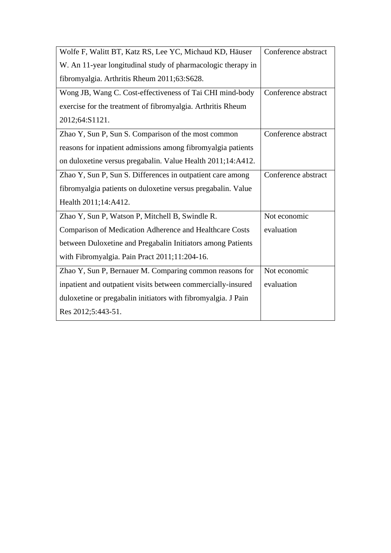| Wolfe F, Walitt BT, Katz RS, Lee YC, Michaud KD, Häuser       | Conference abstract |
|---------------------------------------------------------------|---------------------|
| W. An 11-year longitudinal study of pharmacologic therapy in  |                     |
| fibromyalgia. Arthritis Rheum 2011;63:S628.                   |                     |
| Wong JB, Wang C. Cost-effectiveness of Tai CHI mind-body      | Conference abstract |
| exercise for the treatment of fibromyalgia. Arthritis Rheum   |                     |
| 2012;64:S1121.                                                |                     |
| Zhao Y, Sun P, Sun S. Comparison of the most common           | Conference abstract |
| reasons for inpatient admissions among fibromyalgia patients  |                     |
| on duloxetine versus pregabalin. Value Health 2011;14:A412.   |                     |
| Zhao Y, Sun P, Sun S. Differences in outpatient care among    | Conference abstract |
| fibromyalgia patients on duloxetine versus pregabalin. Value  |                     |
| Health 2011;14:A412.                                          |                     |
| Zhao Y, Sun P, Watson P, Mitchell B, Swindle R.               | Not economic        |
| Comparison of Medication Adherence and Healthcare Costs       | evaluation          |
| between Duloxetine and Pregabalin Initiators among Patients   |                     |
| with Fibromyalgia. Pain Pract 2011;11:204-16.                 |                     |
| Zhao Y, Sun P, Bernauer M. Comparing common reasons for       | Not economic        |
| inpatient and outpatient visits between commercially-insured  | evaluation          |
| duloxetine or pregabalin initiators with fibromyalgia. J Pain |                     |
| Res 2012;5:443-51.                                            |                     |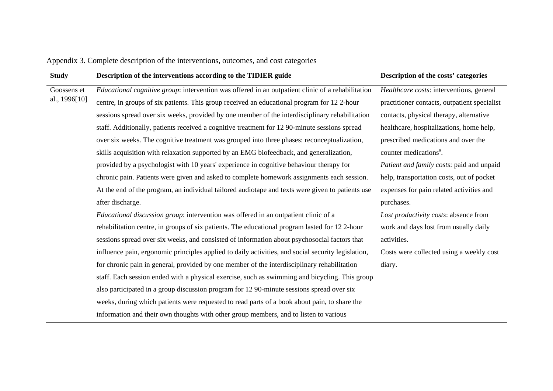| <b>Study</b>  | Description of the interventions according to the TIDIER guide                                     | Description of the costs' categories         |
|---------------|----------------------------------------------------------------------------------------------------|----------------------------------------------|
| Goossens et   | Educational cognitive group: intervention was offered in an outpatient clinic of a rehabilitation  | Healthcare costs: interventions, general     |
| al., 1996[10] | centre, in groups of six patients. This group received an educational program for 12 2-hour        | practitioner contacts, outpatient specialist |
|               | sessions spread over six weeks, provided by one member of the interdisciplinary rehabilitation     | contacts, physical therapy, alternative      |
|               | staff. Additionally, patients received a cognitive treatment for 12 90-minute sessions spread      | healthcare, hospitalizations, home help,     |
|               | over six weeks. The cognitive treatment was grouped into three phases: reconceptualization,        | prescribed medications and over the          |
|               | skills acquisition with relaxation supported by an EMG biofeedback, and generalization,            | counter medications <sup>a</sup> .           |
|               | provided by a psychologist with 10 years' experience in cognitive behaviour therapy for            | Patient and family costs: paid and unpaid    |
|               | chronic pain. Patients were given and asked to complete homework assignments each session.         | help, transportation costs, out of pocket    |
|               | At the end of the program, an individual tailored audiotape and texts were given to patients use   | expenses for pain related activities and     |
|               | after discharge.                                                                                   | purchases.                                   |
|               | <i>Educational discussion group:</i> intervention was offered in an outpatient clinic of a         | Lost productivity costs: absence from        |
|               | rehabilitation centre, in groups of six patients. The educational program lasted for 12 2-hour     | work and days lost from usually daily        |
|               | sessions spread over six weeks, and consisted of information about psychosocial factors that       | activities.                                  |
|               | influence pain, ergonomic principles applied to daily activities, and social security legislation, | Costs were collected using a weekly cost     |
|               | for chronic pain in general, provided by one member of the interdisciplinary rehabilitation        | diary.                                       |
|               | staff. Each session ended with a physical exercise, such as swimming and bicycling. This group     |                                              |
|               | also participated in a group discussion program for 12 90-minute sessions spread over six          |                                              |
|               | weeks, during which patients were requested to read parts of a book about pain, to share the       |                                              |
|               | information and their own thoughts with other group members, and to listen to various              |                                              |

Appendix 3. Complete description of the interventions, outcomes, and cost categories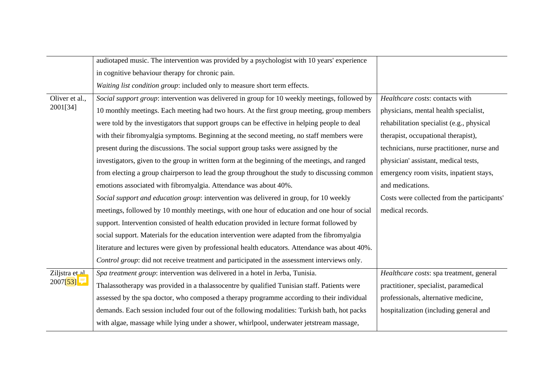|                      | audiotaped music. The intervention was provided by a psychologist with 10 years' experience    |                                             |
|----------------------|------------------------------------------------------------------------------------------------|---------------------------------------------|
|                      | in cognitive behaviour therapy for chronic pain.                                               |                                             |
|                      | Waiting list condition group: included only to measure short term effects.                     |                                             |
| Oliver et al.,       | Social support group: intervention was delivered in group for 10 weekly meetings, followed by  | Healthcare costs: contacts with             |
| 2001[34]             | 10 monthly meetings. Each meeting had two hours. At the first group meeting, group members     | physicians, mental health specialist,       |
|                      | were told by the investigators that support groups can be effective in helping people to deal  | rehabilitation specialist (e.g., physical   |
|                      | with their fibromyalgia symptoms. Beginning at the second meeting, no staff members were       | therapist, occupational therapist),         |
|                      | present during the discussions. The social support group tasks were assigned by the            | technicians, nurse practitioner, nurse and  |
|                      | investigators, given to the group in written form at the beginning of the meetings, and ranged | physician' assistant, medical tests,        |
|                      | from electing a group chairperson to lead the group throughout the study to discussing common  | emergency room visits, inpatient stays,     |
|                      | emotions associated with fibromyalgia. Attendance was about 40%.                               | and medications.                            |
|                      | Social support and education group: intervention was delivered in group, for 10 weekly         | Costs were collected from the participants' |
|                      | meetings, followed by 10 monthly meetings, with one hour of education and one hour of social   | medical records.                            |
|                      |                                                                                                |                                             |
|                      | support. Intervention consisted of health education provided in lecture format followed by     |                                             |
|                      | social support. Materials for the education intervention were adapted from the fibromyalgia    |                                             |
|                      | literature and lectures were given by professional health educators. Attendance was about 40%. |                                             |
|                      | Control group: did not receive treatment and participated in the assessment interviews only.   |                                             |
| Ziljstra et al       | Spa treatment group: intervention was delivered in a hotel in Jerba, Tunisia.                  | Healthcare costs: spa treatment, general    |
| 2007[53] $\boxed{7}$ | Thalassotherapy was provided in a thalassocentre by qualified Tunisian staff. Patients were    | practitioner, specialist, paramedical       |
|                      | assessed by the spa doctor, who composed a therapy programme according to their individual     | professionals, alternative medicine,        |
|                      | demands. Each session included four out of the following modalities: Turkish bath, hot packs   | hospitalization (including general and      |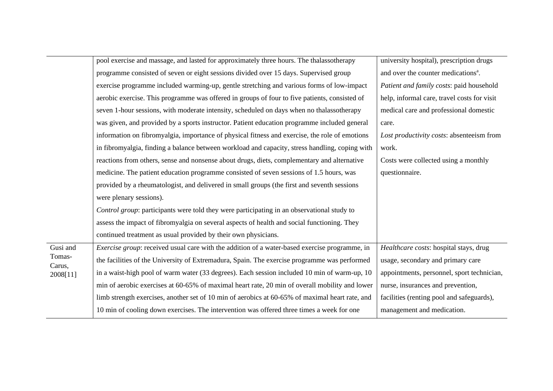|                        | pool exercise and massage, and lasted for approximately three hours. The thalassotherapy        | university hospital), prescription drugs        |
|------------------------|-------------------------------------------------------------------------------------------------|-------------------------------------------------|
|                        | programme consisted of seven or eight sessions divided over 15 days. Supervised group           | and over the counter medications <sup>a</sup> . |
|                        | exercise programme included warming-up, gentle stretching and various forms of low-impact       | Patient and family costs: paid household        |
|                        | aerobic exercise. This programme was offered in groups of four to five patients, consisted of   | help, informal care, travel costs for visit     |
|                        | seven 1-hour sessions, with moderate intensity, scheduled on days when no thalassotherapy       | medical care and professional domestic          |
|                        | was given, and provided by a sports instructor. Patient education programme included general    | care.                                           |
|                        | information on fibromyalgia, importance of physical fitness and exercise, the role of emotions  | Lost productivity costs: absenteeism from       |
|                        | in fibromyalgia, finding a balance between workload and capacity, stress handling, coping with  | work.                                           |
|                        | reactions from others, sense and nonsense about drugs, diets, complementary and alternative     | Costs were collected using a monthly            |
|                        | medicine. The patient education programme consisted of seven sessions of 1.5 hours, was         | questionnaire.                                  |
|                        | provided by a rheumatologist, and delivered in small groups (the first and seventh sessions     |                                                 |
|                        | were plenary sessions).                                                                         |                                                 |
|                        | Control group: participants were told they were participating in an observational study to      |                                                 |
|                        | assess the impact of fibromyalgia on several aspects of health and social functioning. They     |                                                 |
|                        | continued treatment as usual provided by their own physicians.                                  |                                                 |
| $\overline{G}$ usi and | Exercise group: received usual care with the addition of a water-based exercise programme, in   | Healthcare costs: hospital stays, drug          |
| Tomas-<br>Carus,       | the facilities of the University of Extremadura, Spain. The exercise programme was performed    | usage, secondary and primary care               |
| 2008[11]               | in a waist-high pool of warm water (33 degrees). Each session included 10 min of warm-up, 10    | appointments, personnel, sport technician,      |
|                        | min of aerobic exercises at 60-65% of maximal heart rate, 20 min of overall mobility and lower  | nurse, insurances and prevention,               |
|                        | limb strength exercises, another set of 10 min of aerobics at 60-65% of maximal heart rate, and | facilities (renting pool and safeguards),       |
|                        | 10 min of cooling down exercises. The intervention was offered three times a week for one       | management and medication.                      |
|                        |                                                                                                 |                                                 |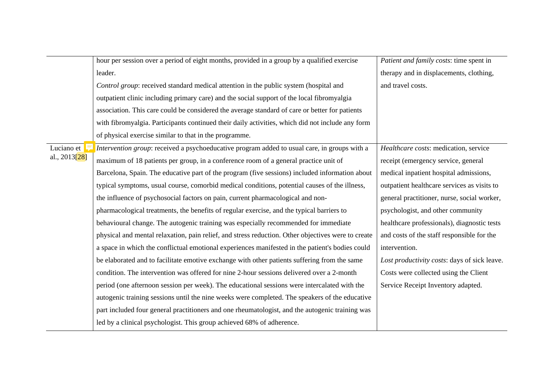|               | hour per session over a period of eight months, provided in a group by a qualified exercise        | Patient and family costs: time spent in      |
|---------------|----------------------------------------------------------------------------------------------------|----------------------------------------------|
|               | leader.                                                                                            | therapy and in displacements, clothing,      |
|               | Control group: received standard medical attention in the public system (hospital and              | and travel costs.                            |
|               | outpatient clinic including primary care) and the social support of the local fibromyalgia         |                                              |
|               | association. This care could be considered the average standard of care or better for patients     |                                              |
|               | with fibromyalgia. Participants continued their daily activities, which did not include any form   |                                              |
|               | of physical exercise similar to that in the programme.                                             |                                              |
| Luciano et    | Intervention group: received a psychoeducative program added to usual care, in groups with a       | Healthcare costs: medication, service        |
| al., 2013[28] | maximum of 18 patients per group, in a conference room of a general practice unit of               | receipt (emergency service, general          |
|               | Barcelona, Spain. The educative part of the program (five sessions) included information about     | medical inpatient hospital admissions,       |
|               | typical symptoms, usual course, comorbid medical conditions, potential causes of the illness,      | outpatient healthcare services as visits to  |
|               | the influence of psychosocial factors on pain, current pharmacological and non-                    | general practitioner, nurse, social worker,  |
|               | pharmacological treatments, the benefits of regular exercise, and the typical barriers to          | psychologist, and other community            |
|               | behavioural change. The autogenic training was especially recommended for immediate                | healthcare professionals), diagnostic tests  |
|               | physical and mental relaxation, pain relief, and stress reduction. Other objectives were to create | and costs of the staff responsible for the   |
|               | a space in which the conflictual emotional experiences manifested in the patient's bodies could    | intervention.                                |
|               | be elaborated and to facilitate emotive exchange with other patients suffering from the same       | Lost productivity costs: days of sick leave. |
|               | condition. The intervention was offered for nine 2-hour sessions delivered over a 2-month          | Costs were collected using the Client        |
|               | period (one afternoon session per week). The educational sessions were intercalated with the       | Service Receipt Inventory adapted.           |
|               | autogenic training sessions until the nine weeks were completed. The speakers of the educative     |                                              |
|               | part included four general practitioners and one rheumatologist, and the autogenic training was    |                                              |
|               | led by a clinical psychologist. This group achieved 68% of adherence.                              |                                              |
|               |                                                                                                    |                                              |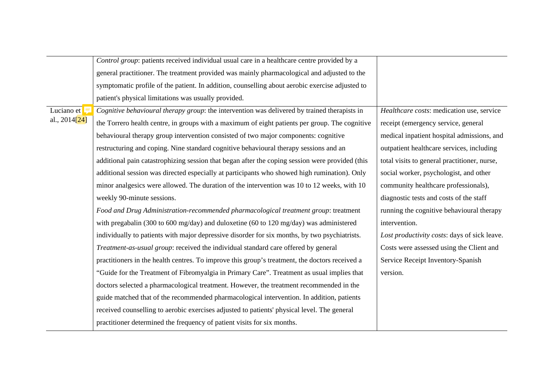|                           | Control group: patients received individual usual care in a healthcare centre provided by a     |                                              |
|---------------------------|-------------------------------------------------------------------------------------------------|----------------------------------------------|
|                           | general practitioner. The treatment provided was mainly pharmacological and adjusted to the     |                                              |
|                           | symptomatic profile of the patient. In addition, counselling about aerobic exercise adjusted to |                                              |
|                           | patient's physical limitations was usually provided.                                            |                                              |
| Luciano et                | Cognitive behavioural therapy group: the intervention was delivered by trained therapists in    | Healthcare costs: medication use, service    |
| al., 2014 <sup>[24]</sup> | the Torrero health centre, in groups with a maximum of eight patients per group. The cognitive  | receipt (emergency service, general          |
|                           | behavioural therapy group intervention consisted of two major components: cognitive             | medical inpatient hospital admissions, and   |
|                           | restructuring and coping. Nine standard cognitive behavioural therapy sessions and an           | outpatient healthcare services, including    |
|                           | additional pain catastrophizing session that began after the coping session were provided (this | total visits to general practitioner, nurse, |
|                           | additional session was directed especially at participants who showed high rumination). Only    | social worker, psychologist, and other       |
|                           | minor analgesics were allowed. The duration of the intervention was 10 to 12 weeks, with 10     | community healthcare professionals),         |
|                           | weekly 90-minute sessions.                                                                      | diagnostic tests and costs of the staff      |
|                           | Food and Drug Administration-recommended pharmacological treatment group: treatment             | running the cognitive behavioural therapy    |
|                           | with pregabalin (300 to 600 mg/day) and duloxetine (60 to 120 mg/day) was administered          | intervention.                                |
|                           | individually to patients with major depressive disorder for six months, by two psychiatrists.   | Lost productivity costs: days of sick leave. |
|                           | Treatment-as-usual group: received the individual standard care offered by general              | Costs were assessed using the Client and     |
|                           | practitioners in the health centres. To improve this group's treatment, the doctors received a  | Service Receipt Inventory-Spanish            |
|                           | "Guide for the Treatment of Fibromyalgia in Primary Care". Treatment as usual implies that      | version.                                     |
|                           | doctors selected a pharmacological treatment. However, the treatment recommended in the         |                                              |
|                           | guide matched that of the recommended pharmacological intervention. In addition, patients       |                                              |
|                           | received counselling to aerobic exercises adjusted to patients' physical level. The general     |                                              |
|                           | practitioner determined the frequency of patient visits for six months.                         |                                              |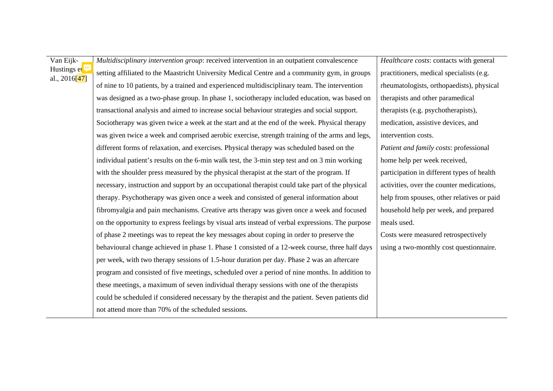Van Eijk-Hustings et <sup>5</sup> al., 2016[47] *Multidisciplinary intervention group*: received intervention in an outpatient convalescence setting affiliated to the Maastricht University Medical Centre and a community gym, in groups of nine to 10 patients, by a trained and experienced multidisciplinary team. The intervention was designed as a two-phase group. In phase 1, sociotherapy included education, was based on transactional analysis and aimed to increase social behaviour strategies and social support. Sociotherapy was given twice a week at the start and at the end of the week. Physical therapy was given twice a week and comprised aerobic exercise, strength training of the arms and legs, different forms of relaxation, and exercises. Physical therapy was scheduled based on the individual patient's results on the 6-min walk test, the 3-min step test and on 3 min working with the shoulder press measured by the physical therapist at the start of the program. If necessary, instruction and support by an occupational therapist could take part of the physical therapy. Psychotherapy was given once a week and consisted of general information about fibromyalgia and pain mechanisms. Creative arts therapy was given once a week and focused on the opportunity to express feelings by visual arts instead of verbal expressions. The purpose of phase 2 meetings was to repeat the key messages about coping in order to preserve the behavioural change achieved in phase 1. Phase 1 consisted of a 12-week course, three half days per week, with two therapy sessions of 1.5-hour duration per day. Phase 2 was an aftercare program and consisted of five meetings, scheduled over a period of nine months. In addition to these meetings, a maximum of seven individual therapy sessions with one of the therapists could be scheduled if considered necessary by the therapist and the patient. Seven patients did not attend more than 70% of the scheduled sessions.

*Healthcare costs*: contacts with general practitioners, medical specialists (e.g. rheumatologists, orthopaedists), physical therapists and other paramedical therapists (e.g. psychotherapists), medication, assistive devices, and intervention costs. *Patient and family costs*: professional home help per week received, participation in different types of health activities, over the counter medications, help from spouses, other relatives or paid household help per week, and prepared meals used. Costs were measured retrospectively using a two-monthly cost questionnaire.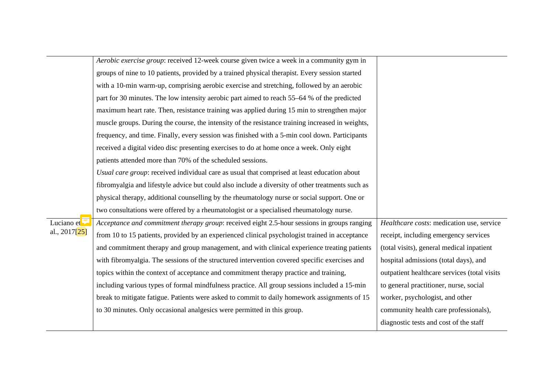|                             | Aerobic exercise group: received 12-week course given twice a week in a community gym in         |                                              |
|-----------------------------|--------------------------------------------------------------------------------------------------|----------------------------------------------|
|                             | groups of nine to 10 patients, provided by a trained physical therapist. Every session started   |                                              |
|                             | with a 10-min warm-up, comprising aerobic exercise and stretching, followed by an aerobic        |                                              |
|                             | part for 30 minutes. The low intensity aerobic part aimed to reach 55–64 % of the predicted      |                                              |
|                             | maximum heart rate. Then, resistance training was applied during 15 min to strengthen major      |                                              |
|                             | muscle groups. During the course, the intensity of the resistance training increased in weights, |                                              |
|                             | frequency, and time. Finally, every session was finished with a 5-min cool down. Participants    |                                              |
|                             | received a digital video disc presenting exercises to do at home once a week. Only eight         |                                              |
|                             | patients attended more than 70% of the scheduled sessions.                                       |                                              |
|                             | Usual care group: received individual care as usual that comprised at least education about      |                                              |
|                             | fibromyalgia and lifestyle advice but could also include a diversity of other treatments such as |                                              |
|                             | physical therapy, additional counselling by the rheumatology nurse or social support. One or     |                                              |
|                             | two consultations were offered by a rheumatologist or a specialised rheumatology nurse.          |                                              |
| Luciano et                  | Acceptance and commitment therapy group: received eight 2.5-hour sessions in groups ranging      | Healthcare costs: medication use, service    |
| al., 2017[ <mark>25]</mark> | from 10 to 15 patients, provided by an experienced clinical psychologist trained in acceptance   | receipt, including emergency services        |
|                             | and commitment therapy and group management, and with clinical experience treating patients      | (total visits), general medical inpatient    |
|                             | with fibromyalgia. The sessions of the structured intervention covered specific exercises and    | hospital admissions (total days), and        |
|                             | topics within the context of acceptance and commitment therapy practice and training,            | outpatient healthcare services (total visits |
|                             | including various types of formal mindfulness practice. All group sessions included a 15-min     | to general practitioner, nurse, social       |
|                             | break to mitigate fatigue. Patients were asked to commit to daily homework assignments of 15     | worker, psychologist, and other              |
|                             | to 30 minutes. Only occasional analgesics were permitted in this group.                          | community health care professionals),        |
|                             |                                                                                                  | diagnostic tests and cost of the staff       |
|                             |                                                                                                  |                                              |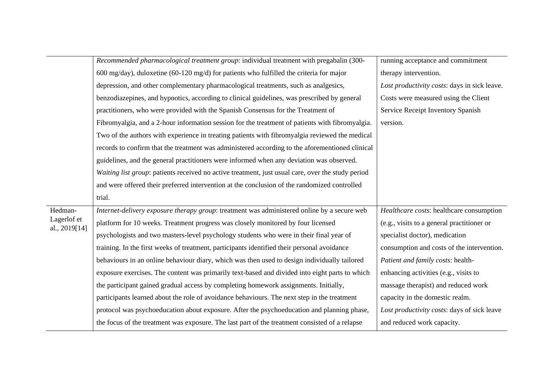|                              | Recommended pharmacological treatment group: individual treatment with pregabalin (300-           | running acceptance and commitment            |
|------------------------------|---------------------------------------------------------------------------------------------------|----------------------------------------------|
|                              | 600 mg/day), duloxetine (60-120 mg/d) for patients who fulfilled the criteria for major           | therapy intervention.                        |
|                              | depression, and other complementary pharmacological treatments, such as analgesics,               | Lost productivity costs: days in sick leave. |
|                              | benzodiazepines, and hypnotics, according to clinical guidelines, was prescribed by general       | Costs were measured using the Client         |
|                              | practitioners, who were provided with the Spanish Consensus for the Treatment of                  | Service Receipt Inventory Spanish            |
|                              | Fibromyalgia, and a 2-hour information session for the treatment of patients with fibromyalgia.   | version.                                     |
|                              | Two of the authors with experience in treating patients with fibromyalgia reviewed the medical    |                                              |
|                              | records to confirm that the treatment was administered according to the aforementioned clinical   |                                              |
|                              | guidelines, and the general practitioners were informed when any deviation was observed.          |                                              |
|                              | Waiting list group: patients received no active treatment, just usual care, over the study period |                                              |
|                              | and were offered their preferred intervention at the conclusion of the randomized controlled      |                                              |
|                              | trial.                                                                                            |                                              |
| Hedman-                      | Internet-delivery exposure therapy group: treatment was administered online by a secure web       | Healthcare costs: healthcare consumption     |
| Lagerlof et<br>al., 2019[14] | platform for 10 weeks. Treatment progress was closely monitored by four licensed                  | (e.g., visits to a general practitioner or   |
|                              | psychologists and two masters-level psychology students who were in their final year of           | specialist doctor), medication               |
|                              | training. In the first weeks of treatment, participants identified their personal avoidance       | consumption and costs of the intervention.   |
|                              | behaviours in an online behaviour diary, which was then used to design individually tailored      | Patient and family costs: health-            |
|                              | exposure exercises. The content was primarily text-based and divided into eight parts to which    | enhancing activities (e.g., visits to        |
|                              | the participant gained gradual access by completing homework assignments. Initially,              | massage therapist) and reduced work          |
|                              | participants learned about the role of avoidance behaviours. The next step in the treatment       | capacity in the domestic realm.              |
|                              | protocol was psychoeducation about exposure. After the psychoeducation and planning phase,        | Lost productivity costs: days of sick leave  |
|                              | the focus of the treatment was exposure. The last part of the treatment consisted of a relapse    | and reduced work capacity.                   |
|                              |                                                                                                   |                                              |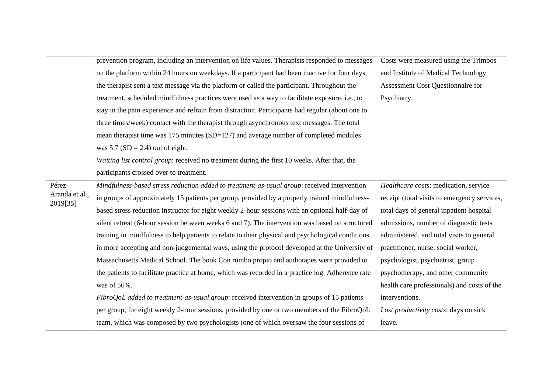|                            | prevention program, including an intervention on life values. Therapists responded to messages    | Costs were measured using the Trimbos        |
|----------------------------|---------------------------------------------------------------------------------------------------|----------------------------------------------|
|                            | on the platform within 24 hours on weekdays. If a participant had been inactive for four days,    | and Institute of Medical Technology          |
|                            | the therapist sent a text message via the platform or called the participant. Throughout the      | Assessment Cost Questionnaire for            |
|                            | treatment, scheduled mindfulness practices were used as a way to facilitate exposure, i.e., to    | Psychiatry.                                  |
|                            | stay in the pain experience and refrain from distraction. Participants had regular (about one to  |                                              |
|                            | three times/week) contact with the therapist through asynchronous text messages. The total        |                                              |
|                            | mean therapist time was $175$ minutes (SD= $127$ ) and average number of completed modules        |                                              |
|                            | was $5.7$ (SD = 2.4) out of eight.                                                                |                                              |
|                            | Waiting list control group: received no treatment during the first 10 weeks. After that, the      |                                              |
|                            | participants crossed over to treatment.                                                           |                                              |
| Pérez-                     | Mindfulness-based stress reduction added to treatment-as-usual group: received intervention       | Healthcare costs: medication, service        |
| Aranda et al.,<br>2019[35] | in groups of approximately 15 patients per group, provided by a properly trained mindfulness-     | receipt (total visits to emergency services, |
|                            | based stress reduction instructor for eight weekly 2-hour sessions with an optional half-day of   | total days of general inpatient hospital     |
|                            | silent retreat (6-hour session between weeks 6 and 7). The intervention was based on structured   | admissions, number of diagnostic tests       |
|                            | training in mindfulness to help patients to relate to their physical and psychological conditions | administered, and total visits to general    |
|                            | in more accepting and non-judgemental ways, using the protocol developed at the University of     | practitioner, nurse, social worker,          |
|                            | Massachusetts Medical School. The book Con rumbo propio and audiotapes were provided to           | psychologist, psychiatrist, group            |
|                            | the patients to facilitate practice at home, which was recorded in a practice log. Adherence rate | psychotherapy, and other community           |
|                            | was of 56%.                                                                                       | health care professionals) and costs of the  |
|                            | FibroQoL added to treatment-as-usual group: received intervention in groups of 15 patients        | interventions.                               |
|                            | per group, for eight weekly 2-hour sessions, provided by one or two members of the FibroQoL       | Lost productivity costs: days on sick        |
|                            | team, which was composed by two psychologists (one of which oversaw the four sessions of          | leave.                                       |
|                            |                                                                                                   |                                              |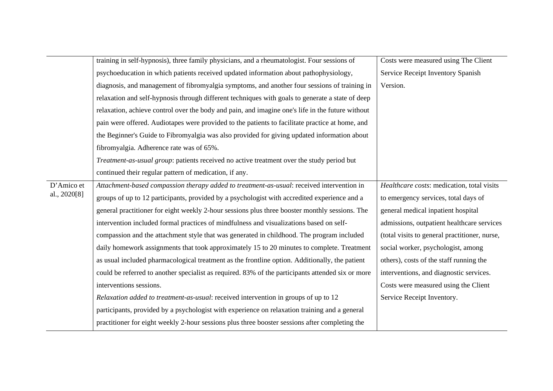|              | training in self-hypnosis), three family physicians, and a rheumatologist. Four sessions of       | Costs were measured using The Client          |
|--------------|---------------------------------------------------------------------------------------------------|-----------------------------------------------|
|              | psychoeducation in which patients received updated information about pathophysiology,             | Service Receipt Inventory Spanish             |
|              |                                                                                                   |                                               |
|              | diagnosis, and management of fibromyalgia symptoms, and another four sessions of training in      | Version.                                      |
|              | relaxation and self-hypnosis through different techniques with goals to generate a state of deep  |                                               |
|              | relaxation, achieve control over the body and pain, and imagine one's life in the future without  |                                               |
|              | pain were offered. Audiotapes were provided to the patients to facilitate practice at home, and   |                                               |
|              | the Beginner's Guide to Fibromyalgia was also provided for giving updated information about       |                                               |
|              | fibromyalgia. Adherence rate was of 65%.                                                          |                                               |
|              | Treatment-as-usual group: patients received no active treatment over the study period but         |                                               |
|              | continued their regular pattern of medication, if any.                                            |                                               |
| D'Amico et   | Attachment-based compassion therapy added to treatment-as-usual: received intervention in         | Healthcare costs: medication, total visits    |
| al., 2020[8] | groups of up to 12 participants, provided by a psychologist with accredited experience and a      | to emergency services, total days of          |
|              | general practitioner for eight weekly 2-hour sessions plus three booster monthly sessions. The    | general medical inpatient hospital            |
|              | intervention included formal practices of mindfulness and visualizations based on self-           | admissions, outpatient healthcare services    |
|              | compassion and the attachment style that was generated in childhood. The program included         | (total visits to general practitioner, nurse, |
|              | daily homework assignments that took approximately 15 to 20 minutes to complete. Treatment        | social worker, psychologist, among            |
|              | as usual included pharmacological treatment as the frontline option. Additionally, the patient    | others), costs of the staff running the       |
|              | could be referred to another specialist as required. 83% of the participants attended six or more | interventions, and diagnostic services.       |
|              | interventions sessions.                                                                           | Costs were measured using the Client          |
|              | Relaxation added to treatment-as-usual: received intervention in groups of up to 12               | Service Receipt Inventory.                    |
|              | participants, provided by a psychologist with experience on relaxation training and a general     |                                               |
|              | practitioner for eight weekly 2-hour sessions plus three booster sessions after completing the    |                                               |
|              |                                                                                                   |                                               |